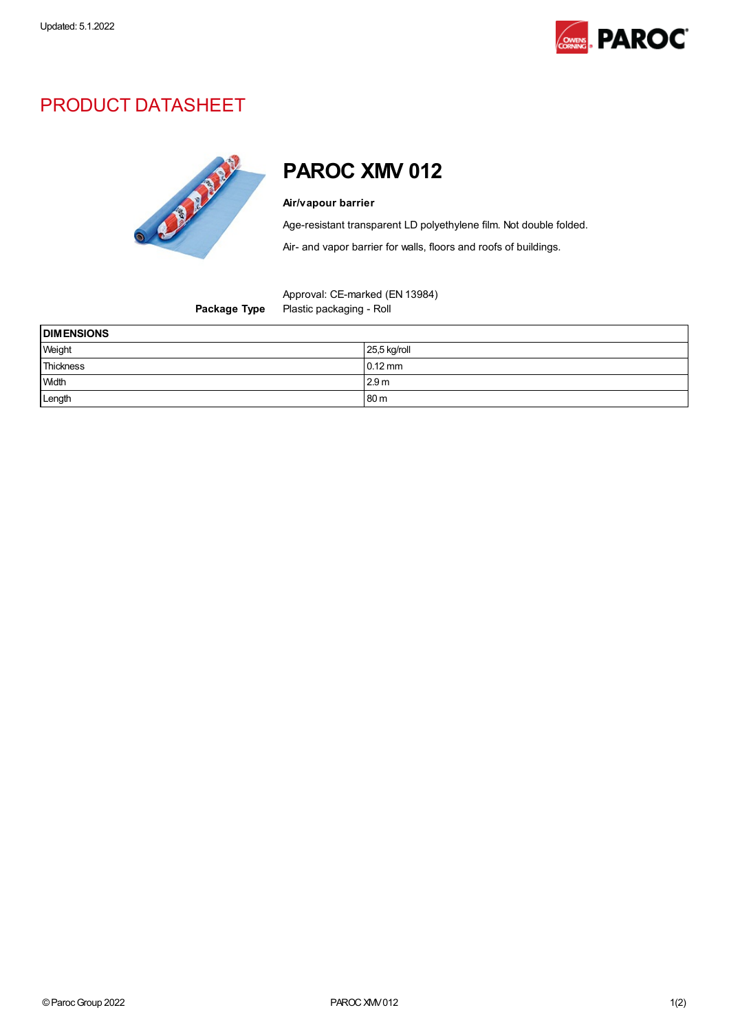

## PRODUCT DATASHEET



## PAROC XMV 012

## Air/vapour barrier

Age-resistant transparent LD polyethylene film. Not double folded.

Air- and vapor barrier for walls, floors and roofs of buildings.

Package Type Plastic packaging - Roll

| <b>DIMENSIONS</b> |                  |
|-------------------|------------------|
| Weight            | 25,5 kg/roll     |
| Thickness         | $0.12$ mm        |
| <b>Width</b>      | 2.9 <sub>m</sub> |
| Length            | 80 m             |

Approval: CE-marked (EN 13984)